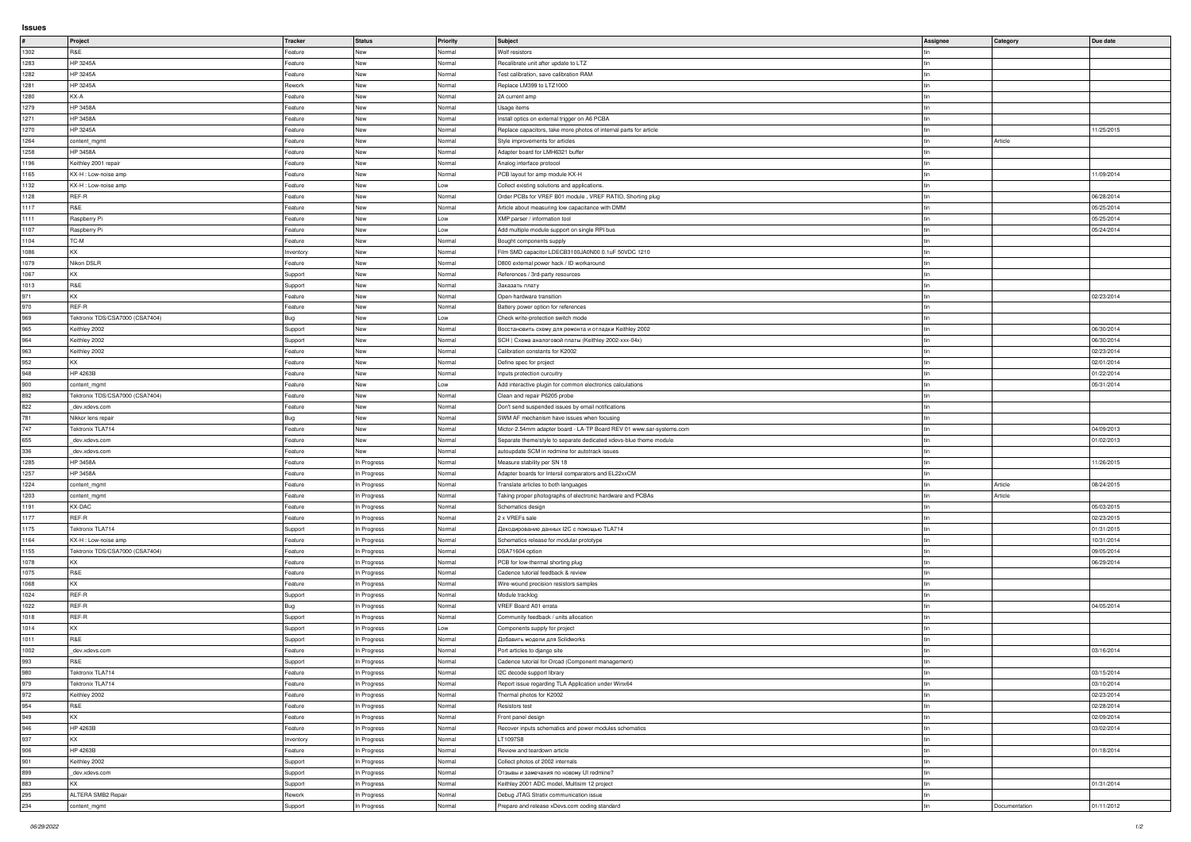|              | Project                            | Tracker            | Status                     | Priority         | Subject                                                                         | Assignee | Category      | Due date   |
|--------------|------------------------------------|--------------------|----------------------------|------------------|---------------------------------------------------------------------------------|----------|---------------|------------|
| 1302         | R&E                                | Feature            | New                        | Normal           | <b>Wolf resistors</b>                                                           |          |               |            |
| 1283         | HP 3245A                           | Feature            | New                        | Normal           | Recalibrate unit after update to LTZ                                            |          |               |            |
| 1282         | HP 3245A                           | Feature            | New                        | Normal           | Test calibration, save calibration RAM                                          |          |               |            |
| 1281         | HP 3245A                           | Rework             | New                        | Normal           | Replace LM399 to LTZ1000                                                        |          |               |            |
| 1280         | KX-A                               | Feature            | New                        | Normal           | 2A current amp                                                                  |          |               |            |
| 1279         | <b>HP 3458A</b>                    | Feature            | New                        | Normal           | <b>Usage items</b>                                                              |          |               |            |
| 1271         | <b>HP 3458A</b>                    | Feature            | New                        | Normal           | Install optics on external trigger on A6 PCBA                                   |          |               |            |
| 1270         | HP 3245A                           | Feature            | New                        | Normal           | Replace capacitors, take more photos of internal parts for article              |          |               | 11/25/2015 |
| 1264         | content_mgmt                       | Feature            | New                        | Normal           | Style improvements for articles                                                 |          | Article       |            |
| 1258         | <b>HP 3458A</b>                    | Feature            | New                        | Normal           | Adapter board for LMH6321 buffer                                                |          |               |            |
| 1196         | Keithley 2001 repair               | Feature            | New                        | Normal           | Analog interface protocol                                                       |          |               |            |
| 1165         | KX-H : Low-noise amp               | Feature            | New                        | Normal           | PCB layout for amp module KX-H                                                  |          |               | 11/09/2014 |
| 1132         | KX-H : Low-noise amp               | Feature            | New                        | Low              | Collect existing solutions and applications.                                    |          |               |            |
| 1128         | REF-R                              | Feature            | New                        | Normal           | Order PCBs for VREF B01 module, VREF RATIO, Shorting plug                       |          |               | 06/28/2014 |
| 1117         | R&E                                | Feature            | New                        | Normal           | Article about measuring low capacitance with DMM                                |          |               | 05/25/2014 |
| 1111         | Raspberry Pi                       | Feature            | New                        | Low              | XMP parser / information tool                                                   |          |               | 05/25/2014 |
| 1107         | Raspberry Pi                       | Feature            | New                        | Low              | Add multiple module support on single RPI bus                                   |          |               | 05/24/2014 |
| 1104         | TC-M                               | Feature            | New                        | Normal           | Bought components supply                                                        |          |               |            |
| 1086         | KX.                                | Inventory          | New                        | Normal           | Film SMD capacitor LDECB3100JA0N00 0.1uF 50VDC 1210                             |          |               |            |
| 1079         | Nikon DSLR                         | Feature            | New                        | Normal           | D800 external power hack / ID workaround                                        |          |               |            |
| 1067         | ΚX                                 | Support            | New                        | Normal           | References / 3rd-party resources                                                |          |               |            |
| 1013         | R&E                                | Support            | New                        | Normal           | Заказать плату                                                                  |          |               |            |
| 971          | KX.                                | Feature            | New                        | Normal           | Open-hardware transition                                                        |          |               | 02/23/2014 |
| 970          | REF-R                              | Feature            | New                        | Normal           | Battery power option for references                                             |          |               |            |
| 969          | Tektronix TDS/CSA7000 (CSA7404)    | Bug                | New                        | Low              | Check write-protection switch mode                                              |          |               |            |
| 965          | Keithley 2002                      | Support            | New                        | Normal           | Восстановить схему для ремонта и отладки Keithley 2002                          |          |               | 06/30/2014 |
| 964          | Keithley 2002                      | Support            | New                        | Normal           | SCH   Схема аналоговой платы (Keithley 2002-ххх-04х)                            |          |               | 06/30/2014 |
| 963          | Keithley 2002                      | Feature            | New                        | Normal           | Calibration constants for K2002                                                 |          |               | 02/23/2014 |
| 952          | KY.                                | Feature            | <b>New</b>                 | Normal           | Define spec for project                                                         |          |               | 02/01/2014 |
| 948          | HP 4263B                           | Feature            | New                        | Normal           | Inputs protection curcuitry                                                     |          |               | 01/22/2014 |
| 900          | content_mgmt                       | Feature            | New                        | Low              | Add interactive plugin for common electronics calculations                      |          |               | 05/31/2014 |
| 892          | Tektronix TDS/CSA7000 (CSA7404)    | Feature            | New                        | Normal           | Clean and repair P6205 probe                                                    |          |               |            |
| 822          | dev.xdevs.com                      | Feature            | New                        | Normal           | Don't send suspended issues by email notifications                              |          |               |            |
| 781          | Nikkor lens repair                 | Bug                | New                        | Normal           | SWM AF mechanism have issues when focusing                                      |          |               |            |
| 747          | Tektronix TLA714                   | Feature            | New                        | Normal           | Mictor-2.54mm adapter board - LA-TP Board REV 01 www.sar-systems.com            |          |               | 04/09/2013 |
| 655          | dev.xdevs.com                      | Feature            | New                        | Normal           | Separate theme/style to separate dedicated xdevs-blue theme module              |          |               | 01/02/2013 |
| 336          | dev.xdevs.com                      | Feature            | <b>New</b>                 | Normal           | autoupdate SCM in redmine for autotrack issues                                  |          |               |            |
| 1285         | <b>HP 3458A</b><br><b>HP 3458A</b> | Feature            | In Progress                | Normal           | Measure stability per SN 18                                                     |          |               | 11/26/2015 |
| 1257         |                                    | Feature            | In Progress                | Normal           | Adapter boards for Intersil comparators and EL22xxCM                            |          | Article       |            |
| 1224         | content_mgmt                       | Feature            | In Progress                | Normal           | Translate articles to both languages                                            |          |               | 08/24/2015 |
| 1203<br>1191 | content_mgmt<br>KX-DAC             | Feature<br>Feature | In Progress<br>In Progress | Normal<br>Normal | Taking proper photographs of electronic hardware and PCBAs<br>Schematics design |          | Article       | 05/03/2015 |
| 1177         | REF-R                              | Feature            | In Progress                | Normal           | 2 x VREFs sale                                                                  |          |               | 02/23/2015 |
| 1175         | Tektronix TLA714                   | Support            | In Progress                | Normal           | Декодирование данных I2C с помощью TLA714                                       |          |               | 01/31/2015 |
| 1164         | KX-H : Low-noise amp               | Feature            | In Progress                | Normal           | Schematics release for modular prototype                                        |          |               | 10/31/2014 |
| 1155         | Tektronix TDS/CSA7000 (CSA7404)    | Feature            | In Progress                | Normal           | DSA71604 option                                                                 |          |               | 09/05/2014 |
| 1078         |                                    | Feature            | In Progress                | Normal           | PCB for low-thermal shorting plug                                               |          |               | 06/29/2014 |
| 1075         | R&E                                | Feature            | In Progress                | Normal           | Cadence tutorial feedback & review                                              |          |               |            |
| 1068         | ΚX                                 | Feature            | In Progress                | Normal           | Wire-wound precision resistors samples                                          |          |               |            |
| 1024         | REF-R                              | Support            | In Progress                | Normal           | Module tracklog                                                                 |          |               |            |
| 1022         | REF-R                              | Bug                | In Progress                | Normal           | VREF Board A01 errata                                                           |          |               | 04/05/2014 |
| 1018         | REF-R                              | Support            | In Progress                | Normal           | Community feedback / units allocation                                           |          |               |            |
| 1014         | KX                                 | Support            | In Progress                | Low              | Components supply for project                                                   |          |               |            |
| 1011         | R&E                                | Support            | In Progress                | Normal           | Добавить модели для Solidworks                                                  |          |               |            |
| 1002         | dev.xdevs.com                      | Feature            | In Progress                | Normal           | Port articles to django site                                                    |          |               | 03/16/2014 |
| 993          | R&E                                | Support            | In Progress                | Normal           | Cadence tutorial for Orcad (Component management)                               |          |               |            |
| 980          | Tektronix TLA714                   | Feature            | In Progress                | Normal           | 12C decode support library                                                      | l tin    |               | 03/15/2014 |
| 979          | Tektronix TLA714                   | Feature            | In Progress                | Normal           | Report issue regarding TLA Application under Winx64                             |          |               | 03/10/2014 |
| 972          | Keithley 2002                      | Feature            | In Progress                | Normal           | Thermal photos for K2002                                                        |          |               | 02/23/2014 |
| 954          | R&E                                | Feature            | In Progress                | Normal           | Resistors test                                                                  |          |               | 02/28/2014 |
| 949          | ΚX                                 | Feature            | In Progress                | Normal           | Front panel design                                                              |          |               | 02/09/2014 |
| 946          | HP 4263B                           | Feature            | In Progress                | Normal           | Recover inputs schematics and power modules schematics                          |          |               | 03/02/2014 |
| 937          | KX .                               | Inventory          | In Progress                | Normal           | LT1097S8                                                                        |          |               |            |
| 906          | HP 4263B                           | Feature            | In Progress                | Normal           | Review and teardown article                                                     |          |               | 01/18/2014 |
| 901          | Keithley 2002                      | Support            | In Progress                | Normal           | Collect photos of 2002 internals                                                |          |               |            |
| 899          | _dev.xdevs.com                     | Support            | In Progress                | Normal           | Отзывы и замечания по новому UI redmine?                                        |          |               |            |
| 883          | KX                                 | Support            | In Progress                | Normal           | Keithley 2001 ADC model, Multisim 12 project                                    |          |               | 01/31/2014 |
| 295          | ALTERA SMB2 Repair                 | Rework             | In Progress                | Normal           | Debug JTAG Stratix communication issue                                          |          |               |            |
| 234          | content_mgmt                       | Support            | In Progress                | Normal           | Prepare and release xDevs.com coding standard                                   |          | Documentation | 01/11/2012 |